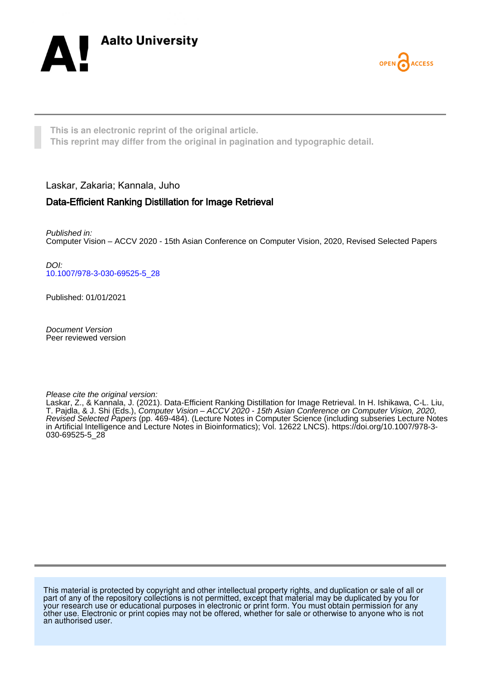



**This is an electronic reprint of the original article. This reprint may differ from the original in pagination and typographic detail.**

Laskar, Zakaria; Kannala, Juho

## Data-Efficient Ranking Distillation for Image Retrieval

Published in: Computer Vision – ACCV 2020 - 15th Asian Conference on Computer Vision, 2020, Revised Selected Papers

DOI: [10.1007/978-3-030-69525-5\\_28](https://doi.org/10.1007/978-3-030-69525-5_28)

Published: 01/01/2021

Document Version Peer reviewed version

Please cite the original version:

Laskar, Z., & Kannala, J. (2021). Data-Efficient Ranking Distillation for Image Retrieval. In H. Ishikawa, C-L. Liu, T. Pajdla, & J. Shi (Eds.), Computer Vision – ACCV 2020 - 15th Asian Conference on Computer Vision, 2020, Revised Selected Papers (pp. 469-484). (Lecture Notes in Computer Science (including subseries Lecture Notes in Artificial Intelligence and Lecture Notes in Bioinformatics); Vol. 12622 LNCS). [https://doi.org/10.1007/978-3-](https://doi.org/10.1007/978-3-030-69525-5_28) [030-69525-5\\_28](https://doi.org/10.1007/978-3-030-69525-5_28)

This material is protected by copyright and other intellectual property rights, and duplication or sale of all or part of any of the repository collections is not permitted, except that material may be duplicated by you for your research use or educational purposes in electronic or print form. You must obtain permission for any other use. Electronic or print copies may not be offered, whether for sale or otherwise to anyone who is not an authorised user.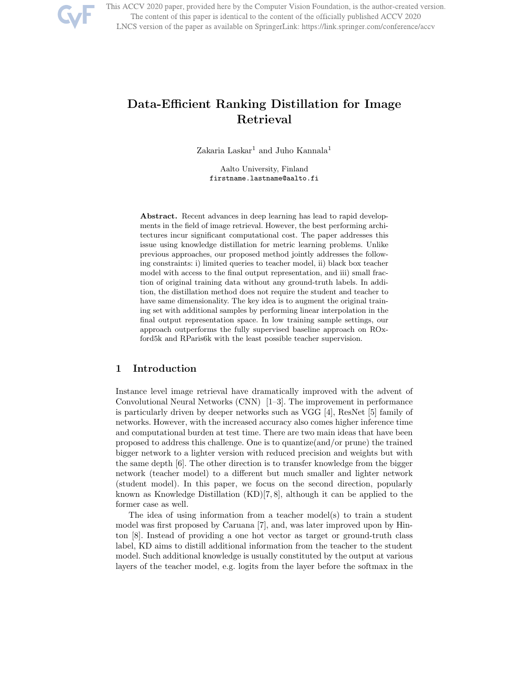

This ACCV 2020 paper, provided here by the Computer Vision Foundation, is the author-created version. The content of this paper is identical to the content of the officially published ACCV 2020 LNCS version of the paper as available on SpringerLink: https://link.springer.com/conference/accv

# Data-Efficient Ranking Distillation for Image Retrieval

Zakaria Laskar<sup>1</sup> and Juho Kannala<sup>1</sup>

Aalto University, Finland firstname.lastname@aalto.fi

Abstract. Recent advances in deep learning has lead to rapid developments in the field of image retrieval. However, the best performing architectures incur significant computational cost. The paper addresses this issue using knowledge distillation for metric learning problems. Unlike previous approaches, our proposed method jointly addresses the following constraints: i) limited queries to teacher model, ii) black box teacher model with access to the final output representation, and iii) small fraction of original training data without any ground-truth labels. In addition, the distillation method does not require the student and teacher to have same dimensionality. The key idea is to augment the original training set with additional samples by performing linear interpolation in the final output representation space. In low training sample settings, our approach outperforms the fully supervised baseline approach on ROxford5k and RParis6k with the least possible teacher supervision.

## 1 Introduction

Instance level image retrieval have dramatically improved with the advent of Convolutional Neural Networks (CNN) [1–3]. The improvement in performance is particularly driven by deeper networks such as VGG [4], ResNet [5] family of networks. However, with the increased accuracy also comes higher inference time and computational burden at test time. There are two main ideas that have been proposed to address this challenge. One is to quantize(and/or prune) the trained bigger network to a lighter version with reduced precision and weights but with the same depth [6]. The other direction is to transfer knowledge from the bigger network (teacher model) to a different but much smaller and lighter network (student model). In this paper, we focus on the second direction, popularly known as Knowledge Distillation (KD)[7, 8], although it can be applied to the former case as well.

The idea of using information from a teacher model(s) to train a student model was first proposed by Caruana [7], and, was later improved upon by Hinton [8]. Instead of providing a one hot vector as target or ground-truth class label, KD aims to distill additional information from the teacher to the student model. Such additional knowledge is usually constituted by the output at various layers of the teacher model, e.g. logits from the layer before the softmax in the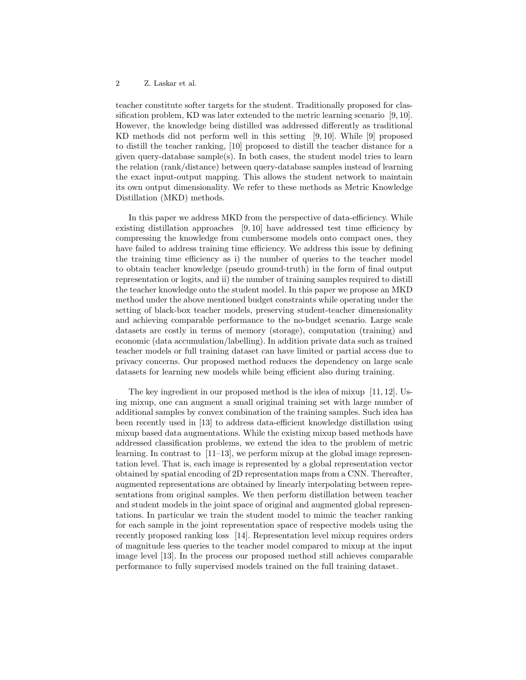teacher constitute softer targets for the student. Traditionally proposed for classification problem, KD was later extended to the metric learning scenario [9, 10]. However, the knowledge being distilled was addressed differently as traditional KD methods did not perform well in this setting [9, 10]. While [9] proposed to distill the teacher ranking, [10] proposed to distill the teacher distance for a given query-database sample(s). In both cases, the student model tries to learn the relation (rank/distance) between query-database samples instead of learning the exact input-output mapping. This allows the student network to maintain its own output dimensionality. We refer to these methods as Metric Knowledge Distillation (MKD) methods.

In this paper we address MKD from the perspective of data-efficiency. While existing distillation approaches [9, 10] have addressed test time efficiency by compressing the knowledge from cumbersome models onto compact ones, they have failed to address training time efficiency. We address this issue by defining the training time efficiency as i) the number of queries to the teacher model to obtain teacher knowledge (pseudo ground-truth) in the form of final output representation or logits, and ii) the number of training samples required to distill the teacher knowledge onto the student model. In this paper we propose an MKD method under the above mentioned budget constraints while operating under the setting of black-box teacher models, preserving student-teacher dimensionality and achieving comparable performance to the no-budget scenario. Large scale datasets are costly in terms of memory (storage), computation (training) and economic (data accumulation/labelling). In addition private data such as trained teacher models or full training dataset can have limited or partial access due to privacy concerns. Our proposed method reduces the dependency on large scale datasets for learning new models while being efficient also during training.

The key ingredient in our proposed method is the idea of mixup [11, 12]. Using mixup, one can augment a small original training set with large number of additional samples by convex combination of the training samples. Such idea has been recently used in [13] to address data-efficient knowledge distillation using mixup based data augmentations. While the existing mixup based methods have addressed classification problems, we extend the idea to the problem of metric learning. In contrast to [11–13], we perform mixup at the global image representation level. That is, each image is represented by a global representation vector obtained by spatial encoding of 2D representation maps from a CNN. Thereafter, augmented representations are obtained by linearly interpolating between representations from original samples. We then perform distillation between teacher and student models in the joint space of original and augmented global representations. In particular we train the student model to mimic the teacher ranking for each sample in the joint representation space of respective models using the recently proposed ranking loss [14]. Representation level mixup requires orders of magnitude less queries to the teacher model compared to mixup at the input image level [13]. In the process our proposed method still achieves comparable performance to fully supervised models trained on the full training dataset.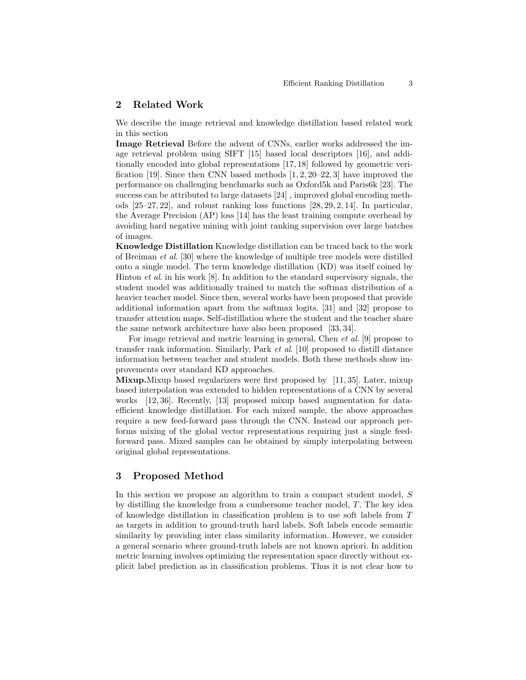#### 2 Related Work

We describe the image retrieval and knowledge distillation based related work in this section

Image Retrieval Before the advent of CNNs, earlier works addressed the image retrieval problem using SIFT [15] based local descriptors [16], and additionally encoded into global representations [17, 18] followed by geometric verification [19]. Since then CNN based methods [1, 2, 20–22, 3] have improved the performance on challenging benchmarks such as Oxford5k and Paris6k [23]. The success can be attributed to large datasets [24] , improved global encoding methods [25–27, 22], and robust ranking loss functions [28, 29, 2, 14]. In particular, the Average Precision (AP) loss [14] has the least training compute overhead by avoiding hard negative mining with joint ranking supervision over large batches of images.

Knowledge Distillation Knowledge distillation can be traced back to the work of Breiman et al. [30] where the knowledge of multiple tree models were distilled onto a single model. The term knowledge distillation (KD) was itself coined by Hinton et al. in his work [8]. In addition to the standard supervisory signals, the student model was additionally trained to match the softmax distribution of a heavier teacher model. Since then, several works have been proposed that provide additional information apart from the softmax logits. [31] and [32] propose to transfer attention maps. Self-distillation where the student and the teacher share the same network architecture have also been proposed [33, 34].

For image retrieval and metric learning in general, Chen et al. [9] propose to transfer rank information. Similarly, Park et al. [10] proposed to distill distance information between teacher and student models. Both these methods show improvements over standard KD approaches.

**Mixup.**Mixup based regularizers were first proposed by  $[11, 35]$ . Later, mixup based interpolation was extended to hidden representations of a CNN by several works [12, 36]. Recently, [13] proposed mixup based augmentation for dataefficient knowledge distillation. For each mixed sample, the above approaches require a new feed-forward pass through the CNN. Instead our approach performs mixing of the global vector representations requiring just a single feedforward pass. Mixed samples can be obtained by simply interpolating between original global representations.

### 3 Proposed Method

In this section we propose an algorithm to train a compact student model, S by distilling the knowledge from a cumbersome teacher model, T. The key idea of knowledge distillation in classification problem is to use soft labels from T as targets in addition to ground-truth hard labels. Soft labels encode semantic similarity by providing inter class similarity information. However, we consider a general scenario where ground-truth labels are not known apriori. In addition metric learning involves optimizing the representation space directly without explicit label prediction as in classification problems. Thus it is not clear how to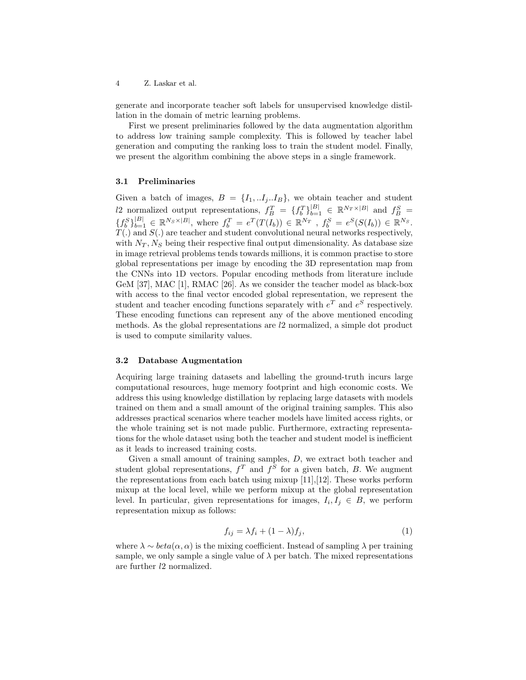generate and incorporate teacher soft labels for unsupervised knowledge distillation in the domain of metric learning problems.

First we present preliminaries followed by the data augmentation algorithm to address low training sample complexity. This is followed by teacher label generation and computing the ranking loss to train the student model. Finally, we present the algorithm combining the above steps in a single framework.

#### 3.1 Preliminaries

Given a batch of images,  $B = \{I_1, ..I_j. .I_B\}$ , we obtain teacher and student l2 normalized output representations,  $f_B^T = \{f_b^T\}_{b=1}^{|B|} \in \mathbb{R}^{N_T \times |B|}$  and  $f_B^S =$  $\{f_b^S\}_{b=1}^{|B|} \in \mathbb{R}^{N_S \times |B|}$ , where  $f_b^T = e^T(T(I_b)) \in \mathbb{R}^{N_T}$ ,  $f_b^S = e^S(S(I_b)) \in \mathbb{R}^{N_S}$ .  $T(.)$  and  $S(.)$  are teacher and student convolutional neural networks respectively, with  $N_T$ ,  $N_S$  being their respective final output dimensionality. As database size in image retrieval problems tends towards millions, it is common practise to store global representations per image by encoding the 3D representation map from the CNNs into 1D vectors. Popular encoding methods from literature include GeM [37], MAC [1], RMAC [26]. As we consider the teacher model as black-box with access to the final vector encoded global representation, we represent the student and teacher encoding functions separately with  $e^T$  and  $e^S$  respectively. These encoding functions can represent any of the above mentioned encoding methods. As the global representations are l2 normalized, a simple dot product is used to compute similarity values.

#### 3.2 Database Augmentation

Acquiring large training datasets and labelling the ground-truth incurs large computational resources, huge memory footprint and high economic costs. We address this using knowledge distillation by replacing large datasets with models trained on them and a small amount of the original training samples. This also addresses practical scenarios where teacher models have limited access rights, or the whole training set is not made public. Furthermore, extracting representations for the whole dataset using both the teacher and student model is inefficient as it leads to increased training costs.

Given a small amount of training samples, D, we extract both teacher and student global representations,  $f^T$  and  $f^S$  for a given batch, B. We augment the representations from each batch using mixup [11],[12]. These works perform mixup at the local level, while we perform mixup at the global representation level. In particular, given representations for images,  $I_i, I_j \in B$ , we perform representation mixup as follows:

$$
f_{ij} = \lambda f_i + (1 - \lambda)f_j,\tag{1}
$$

where  $\lambda \sim beta(\alpha, \alpha)$  is the mixing coefficient. Instead of sampling  $\lambda$  per training sample, we only sample a single value of  $\lambda$  per batch. The mixed representations are further l2 normalized.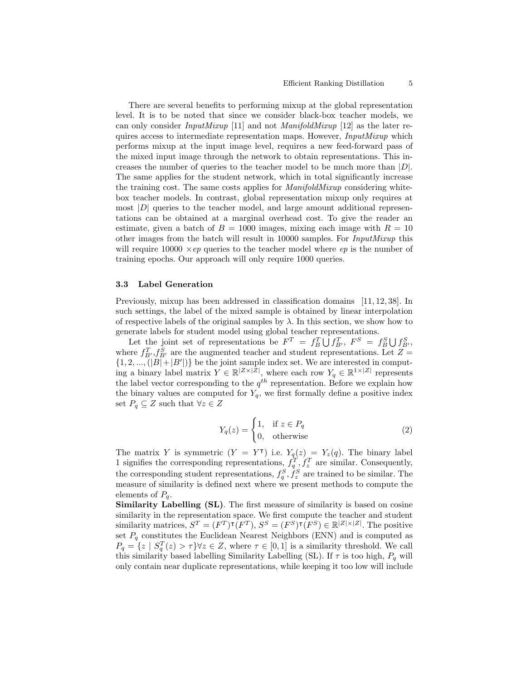There are several benefits to performing mixup at the global representation level. It is to be noted that since we consider black-box teacher models, we can only consider  $InputMixup$  [11] and not  $ManipildMixup$  [12] as the later requires access to intermediate representation maps. However, InputMixup which performs mixup at the input image level, requires a new feed-forward pass of the mixed input image through the network to obtain representations. This increases the number of queries to the teacher model to be much more than  $|D|$ . The same applies for the student network, which in total significantly increase the training cost. The same costs applies for ManifoldMixup considering whitebox teacher models. In contrast, global representation mixup only requires at most  $|D|$  queries to the teacher model, and large amount additional representations can be obtained at a marginal overhead cost. To give the reader an estimate, given a batch of  $B = 1000$  images, mixing each image with  $R = 10$ other images from the batch will result in 10000 samples. For InputMixup this will require  $10000 \times ep$  queries to the teacher model where ep is the number of training epochs. Our approach will only require 1000 queries.

#### 3.3 Label Generation

Previously, mixup has been addressed in classification domains [11, 12, 38]. In such settings, the label of the mixed sample is obtained by linear interpolation of respective labels of the original samples by  $\lambda$ . In this section, we show how to generate labels for student model using global teacher representations.

Let the joint set of representations be  $F^T = f_B^T \bigcup f_{B'}^T$ ,  $F^S = f_B^S \bigcup f_{B'}^S$ , where  $f_{B'}^T, f_{B'}^S$  are the augmented teacher and student representations. Let  $Z =$  $\{1, 2, ..., (|B|+|B'|)\}\)$  be the joint sample index set. We are interested in computing a binary label matrix  $Y \in \mathbb{R}^{|Z| \times |Z|}$ , where each row  $Y_q \in \mathbb{R}^{|X| \times |Z|}$  represents the label vector corresponding to the  $q^{th}$  representation. Before we explain how the binary values are computed for  $Y_q$ , we first formally define a positive index set  $P_q \subseteq Z$  such that  $\forall z \in Z$ 

$$
Y_q(z) = \begin{cases} 1, & \text{if } z \in P_q \\ 0, & \text{otherwise} \end{cases}
$$
 (2)

The matrix Y is symmetric  $(Y = Y^{\dagger})$  i.e.  $Y_q(z) = Y_z(q)$ . The binary label 1 signifies the corresponding representations,  $f_q^T, f_z^T$  are similar. Consequently, the corresponding student representations,  $f_q^S, f_z^S$  are trained to be similar. The measure of similarity is defined next where we present methods to compute the elements of  $P_q$ .

Similarity Labelling (SL). The first measure of similarity is based on cosine similarity in the representation space. We first compute the teacher and student similarity matrices,  $S^T = (F^T)^{\mathsf{T}}(F^T), S^S = (F^S)^{\mathsf{T}}(F^S) \in \mathbb{R}^{|Z| \times |Z|}$ . The positive set  $P_q$  constitutes the Euclidean Nearest Neighbors (ENN) and is computed as  $P_q = \{z \mid S_q^T(z) > \tau\} \forall z \in Z$ , where  $\tau \in [0,1]$  is a similarity threshold. We call this similarity based labelling Similarity Labelling (SL). If  $\tau$  is too high,  $P_q$  will only contain near duplicate representations, while keeping it too low will include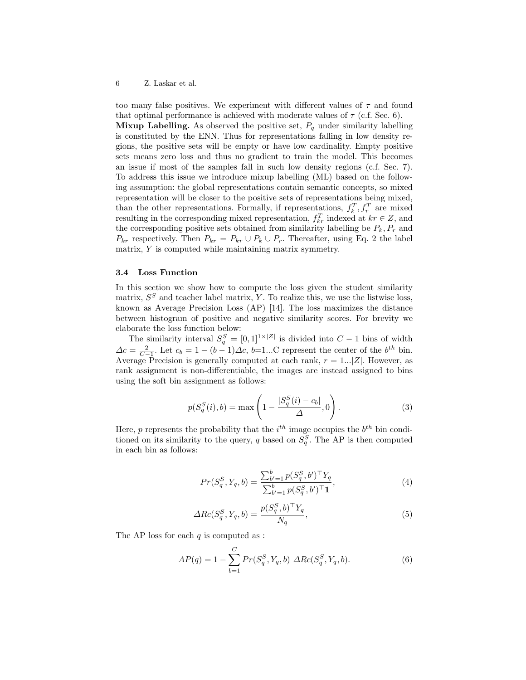too many false positives. We experiment with different values of  $\tau$  and found that optimal performance is achieved with moderate values of  $\tau$  (c.f. Sec. 6).

**Mixup Labelling.** As observed the positive set,  $P_q$  under similarity labelling is constituted by the ENN. Thus for representations falling in low density regions, the positive sets will be empty or have low cardinality. Empty positive sets means zero loss and thus no gradient to train the model. This becomes an issue if most of the samples fall in such low density regions (c.f. Sec. 7). To address this issue we introduce mixup labelling (ML) based on the following assumption: the global representations contain semantic concepts, so mixed representation will be closer to the positive sets of representations being mixed, than the other representations. Formally, if representations,  $f_k^T, f_r^T$  are mixed resulting in the corresponding mixed representation,  $f_k^r$ , indexed at  $kr \in Z$ , and resulting in the corresponding mixed representation,  $f_k^r$ , indexed at  $kr \in Z$ , and the corresponding positive sets obtained from similarity labelling be  $P_k, P_r$  and  $P_{kr}$  respectively. Then  $P_{kr} = P_{kr} \cup P_k \cup P_r$ . Thereafter, using Eq. 2 the label matrix, Y is computed while maintaining matrix symmetry.

#### 3.4 Loss Function

In this section we show how to compute the loss given the student similarity matrix,  $S<sup>S</sup>$  and teacher label matrix, Y. To realize this, we use the listwise loss, known as Average Precision Loss (AP) [14]. The loss maximizes the distance between histogram of positive and negative similarity scores. For brevity we elaborate the loss function below:

The similarity interval  $S_q^S = [0,1]^{1 \times |Z|}$  is divided into  $C-1$  bins of width  $\Delta c = \frac{2}{C-1}$ . Let  $c_b = 1 - (b-1)\Delta c$ , b=1...C represent the center of the  $b^{th}$  bin. Average Precision is generally computed at each rank,  $r = 1...|Z|$ . However, as rank assignment is non-differentiable, the images are instead assigned to bins using the soft bin assignment as follows:

$$
p(S_q^S(i), b) = \max\left(1 - \frac{|S_q^S(i) - c_b|}{\Delta}, 0\right).
$$
 (3)

Here, p represents the probability that the  $i^{th}$  image occupies the  $b^{th}$  bin conditioned on its similarity to the query, q based on  $S_q^S$ . The AP is then computed in each bin as follows:

$$
Pr(S_q^S, Y_q, b) = \frac{\sum_{b'=1}^b p(S_q^S, b')^\top Y_q}{\sum_{b'=1}^b p(S_q^S, b')^\top \mathbf{1}},\tag{4}
$$

$$
\Delta Re(S_q^S, Y_q, b) = \frac{p(S_q^S, b)^\top Y_q}{N_q},\tag{5}
$$

The AP loss for each  $q$  is computed as :

$$
AP(q) = 1 - \sum_{b=1}^{C} Pr(S_q^S, Y_q, b) \ \Delta Re(S_q^S, Y_q, b). \tag{6}
$$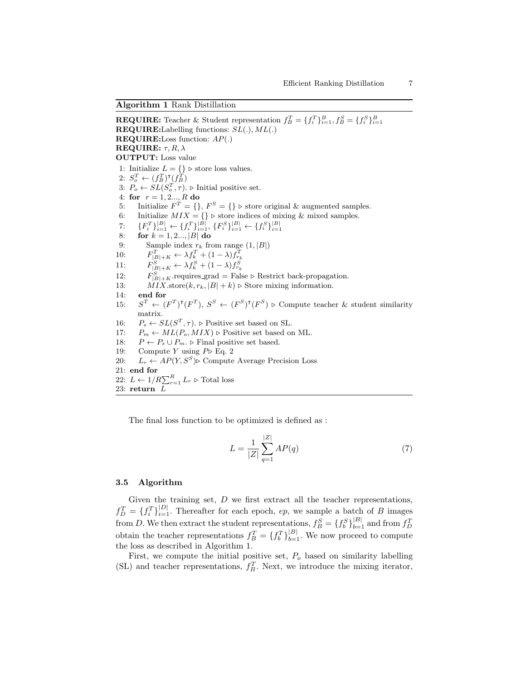Algorithm 1 Rank Distillation

**REQUIRE:** Teacher & Student representation  $f_B^T = \{f_i^T\}_{i=1}^B, f_B^S = \{f_i^S\}_{i=1}^B$ **REQUIRE:**Labelling functions:  $SL(.)$ ,  $ML(.)$ REQUIRE:Loss function: AP(.) **REQUIRE:**  $\tau$ ,  $R$ ,  $\lambda$ OUTPUT: Loss value 1: Initialize  $L = \{\}$  ⊳ store loss values. 2:  $S_o^T \leftarrow (f_B^T)^{\intercal}(f_B^{\widetilde{T}})$ 3:  $P_o \leftarrow SL(S_o^T, \tau)$ .  $\triangleright$  Initial positive set. 4: for  $r = 1, 2..., R$  do 5: Initialize  $F^T = \{\}, F^S = \{\}$   $\triangleright$  store original & augmented samples. 6: Initialize  $MIX = \{\}$  ⊳ store indices of mixing & mixed samples. 7:  $\{F_i^T\}_{i=1}^{|B|} \leftarrow \{f_i^T\}_{i=1}^{|B|}, \{F_i^S\}_{i=1}^{|B|} \leftarrow \{f_i^S\}_{i=1}^{|B|}$ <br>8: **for**  $k = 1, 2, ..., |B|$  **do** 9: Sample index  $r_k$  from range  $(1, |B|)$ <br>
0:  $F_{|B|+K}^T \leftarrow \lambda f_k^T + (1 - \lambda) f_{r_k}^T$ <br>
1:  $F_{|B|+K}^S \leftarrow \lambda f_k^S + (1 - \lambda) f_{r_k}^S$  $10:$  $11:$ 12:  $F_{|B|+K}^S$  requires grad = False ⊳ Restrict back-propagation. 13: MIX.store $(k, r_k, |B| + k)$  ⊳ Store mixing information. 14: end for  $15:$  $T \leftarrow (F^T)^{\mathsf{T}}(F^T), S^S \leftarrow (F^S)^{\mathsf{T}}(F^S) \triangleright \text{Compute teacher} \& \text{ student similarity}$ matrix. 16:  $P_s \leftarrow SL(S^T, \tau)$ .  $\triangleright$  Positive set based on SL. 17:  $P_m \leftarrow ML(P_o, MIX) \triangleright$  Positive set based on ML. 18:  $P \leftarrow P_s \cup P_m$ . ⊳ Final positive set based. 19: Compute Y using  $P \triangleright \text{Eq. 2}$ 20:  $L_r \leftarrow AP(Y, S^S)$  Compute Average Precision Loss 21: end for 22:  $L \leftarrow 1/R \sum_{r=1}^{R} L_r \triangleright$  Total loss 23: return L

The final loss function to be optimized is defined as :

$$
L = \frac{1}{|Z|} \sum_{q=1}^{|Z|} AP(q)
$$
 (7)

#### 3.5 Algorithm

Given the training set,  $D$  we first extract all the teacher representations,  $f_D^T = \{f_i^T\}_{i=1}^{|D|}$ . Thereafter for each epoch, ep, we sample a batch of B images from D. We then extract the student representations,  $f_B^S = \{f_b^S\}_{b=1}^{|B|}$  and from  $f_D^T$ obtain the teacher representations  $f_B^T = \{f_b^T\}_{b=1}^{|B|}$ . We now proceed to compute the loss as described in Algorithm 1.

First, we compute the initial positive set,  $P<sub>o</sub>$  based on similarity labelling (SL) and teacher representations,  $f_B^T$ . Next, we introduce the mixing iterator,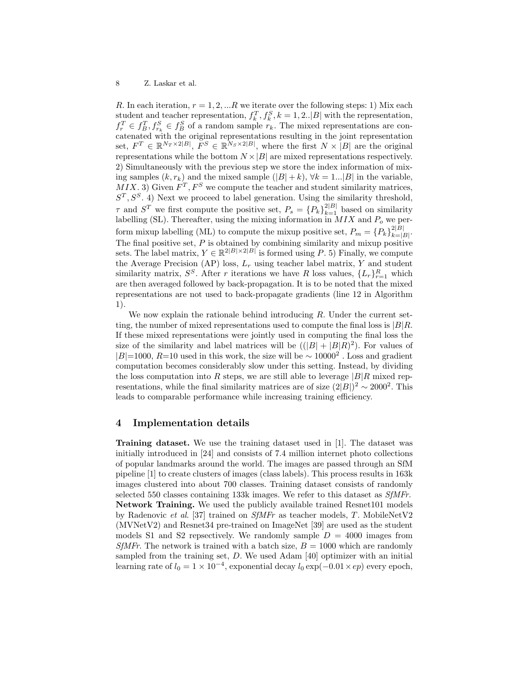R. In each iteration,  $r = 1, 2, \ldots R$  we iterate over the following steps: 1) Mix each student and teacher representation,  $f_k^T$ ,  $f_k^S$ ,  $k = 1, 2..|B|$  with the representation,  $f_r^T \in f_B^T, f_{r_k}^S \in f_B^S$  of a random sample  $r_k$ . The mixed representations are concatenated with the original representations resulting in the joint representation set,  $F^T \in \mathbb{R}^{N_T \times 2|B|}$ ,  $F^S \in \mathbb{R}^{N_S \times 2|B|}$ , where the first  $N \times |B|$  are the original representations while the bottom  $N \times |B|$  are mixed representations respectively. 2) Simultaneously with the previous step we store the index information of mixing samples  $(k, r_k)$  and the mixed sample  $(|B|+k)$ ,  $\forall k = 1...|B|$  in the variable,  $MIX.$  3) Given  $F^T, F^S$  we compute the teacher and student similarity matrices,  $S<sup>T</sup>, S<sup>S</sup>$ . 4) Next we proceed to label generation. Using the similarity threshold,  $\tau$  and  $S^T$  we first compute the positive set,  $P_s = \{P_k\}_{k=1}^{2|B|}$  based on similarity labelling (SL). Thereafter, using the mixing information in  $MIX$  and  $P_o$  we perform mixup labelling (ML) to compute the mixup positive set,  $P_m = \{P_k\}_{k=1}^{2|B|}$  $\vert k=|B|\cdot$ The final positive set,  $P$  is obtained by combining similarity and mixup positive sets. The label matrix,  $Y \in \mathbb{R}^{2|B| \times 2|B|}$  is formed using P. 5) Finally, we compute the Average Precision (AP) loss,  $L_r$  using teacher label matrix, Y and student similarity matrix,  $S^S$ . After r iterations we have R loss values,  $\{L_r\}_{r=1}^R$  which are then averaged followed by back-propagation. It is to be noted that the mixed representations are not used to back-propagate gradients (line 12 in Algorithm 1).

We now explain the rationale behind introducing  $R$ . Under the current setting, the number of mixed representations used to compute the final loss is  $|B|R$ . If these mixed representations were jointly used in computing the final loss the size of the similarity and label matrices will be  $((|B| + |B|R)^2)$ . For values of  $|B|=1000, R=10$  used in this work, the size will be ∼ 10000<sup>2</sup>. Loss and gradient computation becomes considerably slow under this setting. Instead, by dividing the loss computation into R steps, we are still able to leverage  $|B|R$  mixed representations, while the final similarity matrices are of size  $(2|B|)^2 \sim 2000^2$ . This leads to comparable performance while increasing training efficiency.

#### 4 Implementation details

Training dataset. We use the training dataset used in [1]. The dataset was initially introduced in [24] and consists of 7.4 million internet photo collections of popular landmarks around the world. The images are passed through an SfM pipeline [1] to create clusters of images (class labels). This process results in 163k images clustered into about 700 classes. Training dataset consists of randomly selected 550 classes containing 133k images. We refer to this dataset as SfMFr. Network Training. We used the publicly available trained Resnet101 models by Radenovic et al. [37] trained on SfMFr as teacher models, T. MobileNetV2 (MVNetV2) and Resnet34 pre-trained on ImageNet [39] are used as the student models S1 and S2 repsectively. We randomly sample  $D = 4000$  images from SfMFr. The network is trained with a batch size,  $B = 1000$  which are randomly sampled from the training set,  $D$ . We used Adam [40] optimizer with an initial learning rate of  $l_0 = 1 \times 10^{-4}$ , exponential decay  $l_0 \exp(-0.01 \times ep)$  every epoch,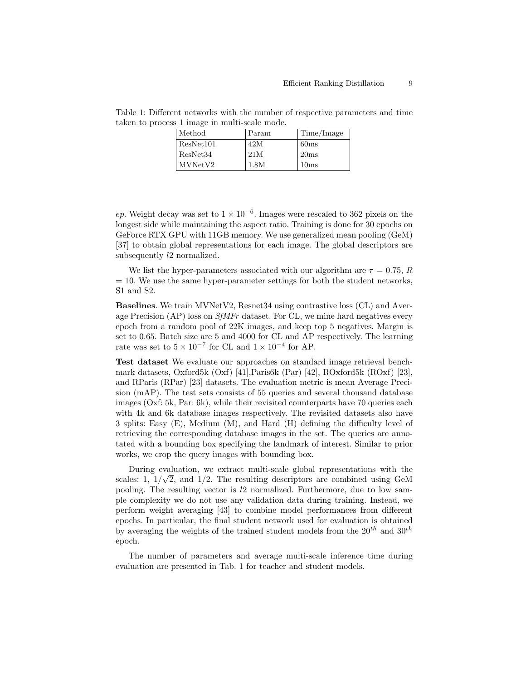| Method    | Param | Time/Image |
|-----------|-------|------------|
| ResNet101 | 42M   | 60ms       |
| ResNet34  | 21M   | 20ms       |
| MVNetV2   | 1.8M  | 10ms       |

Table 1: Different networks with the number of respective parameters and time taken to process 1 image in multi-scale mode.

ep. Weight decay was set to  $1 \times 10^{-6}$ . Images were rescaled to 362 pixels on the longest side while maintaining the aspect ratio. Training is done for 30 epochs on GeForce RTX GPU with 11GB memory. We use generalized mean pooling (GeM) [37] to obtain global representations for each image. The global descriptors are subsequently l2 normalized.

We list the hyper-parameters associated with our algorithm are  $\tau = 0.75$ , R  $= 10$ . We use the same hyper-parameter settings for both the student networks, S1 and S2.

Baselines. We train MVNetV2, Resnet34 using contrastive loss (CL) and Average Precision (AP) loss on SfMFr dataset. For CL, we mine hard negatives every epoch from a random pool of 22K images, and keep top 5 negatives. Margin is set to 0.65. Batch size are 5 and 4000 for CL and AP respectively. The learning rate was set to  $5 \times 10^{-7}$  for CL and  $1 \times 10^{-4}$  for AP.

Test dataset We evaluate our approaches on standard image retrieval benchmark datasets, Oxford5k (Oxf) [41],Paris6k (Par) [42], ROxford5k (ROxf) [23], and RParis (RPar) [23] datasets. The evaluation metric is mean Average Precision (mAP). The test sets consists of 55 queries and several thousand database images (Oxf: 5k, Par: 6k), while their revisited counterparts have 70 queries each with 4k and 6k database images respectively. The revisited datasets also have 3 splits: Easy (E), Medium (M), and Hard (H) defining the difficulty level of retrieving the corresponding database images in the set. The queries are annotated with a bounding box specifying the landmark of interest. Similar to prior works, we crop the query images with bounding box.

During evaluation, we extract multi-scale global representations with the scales: 1,  $1/\sqrt{2}$ , and  $1/2$ . The resulting descriptors are combined using GeM pooling. The resulting vector is l2 normalized. Furthermore, due to low sample complexity we do not use any validation data during training. Instead, we perform weight averaging [43] to combine model performances from different epochs. In particular, the final student network used for evaluation is obtained by averaging the weights of the trained student models from the  $20^{th}$  and  $30^{th}$ epoch.

The number of parameters and average multi-scale inference time during evaluation are presented in Tab. 1 for teacher and student models.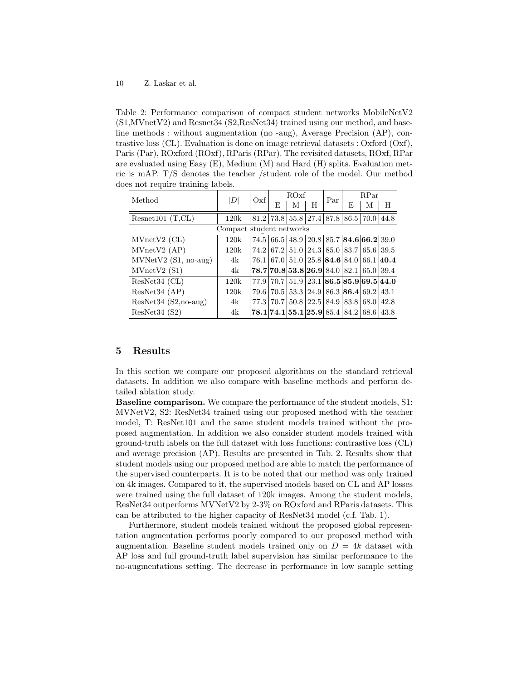Table 2: Performance comparison of compact student networks MobileNetV2 (S1,MVnetV2) and Resnet34 (S2,ResNet34) trained using our method, and baseline methods : without augmentation (no -aug), Average Precision (AP), contrastive loss (CL). Evaluation is done on image retrieval datasets : Oxford (Oxf), Paris (Par), ROxford (ROxf), RParis (RPar). The revisited datasets, ROxf, RPar are evaluated using Easy (E), Medium (M) and Hard (H) splits. Evaluation metric is mAP. T/S denotes the teacher /student role of the model. Our method does not require training labels.

| Method                   | $\left\vert D\right\vert$ | Oxf  | ROxf |   |   | Par | <b>R</b> Par |                                                               |                                                               |  |
|--------------------------|---------------------------|------|------|---|---|-----|--------------|---------------------------------------------------------------|---------------------------------------------------------------|--|
|                          |                           |      | F,   | М | H |     | E            | М                                                             | H                                                             |  |
| Resnet 101 $(T, CL)$     | 120k                      |      |      |   |   |     |              | $81.2$   73.8   55.8   27.4   87.8   86.5   70.0              | 44.8                                                          |  |
| Compact student networks |                           |      |      |   |   |     |              |                                                               |                                                               |  |
| $MVnetV2$ (CL)           | 120k                      |      |      |   |   |     |              | 74.5 66.5 48.9 20.8 85.7 84.6 66.2 39.0                       |                                                               |  |
| MVnetV2 (AP)             | 120k                      |      |      |   |   |     |              | $74.2 67.2 51.0 24.3 85.0 83.7 65.6 39.5$                     |                                                               |  |
| $MVNetV2 (S1, no-aug)$   | 4k                        |      |      |   |   |     |              | $76.1\,67.0\,51.0\,25.8\,84.6\,84.0\,66.1\,40.4$              |                                                               |  |
| MVnetV2(S1)              | 4k                        |      |      |   |   |     |              | $78.7 70.8 53.8 26.9 84.0 82.1 65.0 39.4$                     |                                                               |  |
| ResNet34 (CL)            | 120k                      |      |      |   |   |     |              |                                                               | $77.9$   $70.7$   $51.9$   $23.1$   86.5   85.9   69.5   44.0 |  |
| ResNet34 (AP)            | 120k                      | 79.6 |      |   |   |     |              | $70.5 \mid 53.3 \mid 24.9 \mid 86.3 \mid 86.4 \mid 69.2 \mid$ | 43.1                                                          |  |
| $ResNet34 (S2,no-aug)$   | 4k                        |      |      |   |   |     |              | 77.3   70.7   50.8   22.5   84.9   83.8   68.0                | 42.8                                                          |  |
| ResNet34(S2)             | 4k                        |      |      |   |   |     |              | $78.1 74.1 55.1 25.9 85.4 84.2 68.6 43.8$                     |                                                               |  |

#### 5 Results

In this section we compare our proposed algorithms on the standard retrieval datasets. In addition we also compare with baseline methods and perform detailed ablation study.

Baseline comparison. We compare the performance of the student models, S1: MVNetV2, S2: ResNet34 trained using our proposed method with the teacher model, T: ResNet101 and the same student models trained without the proposed augmentation. In addition we also consider student models trained with ground-truth labels on the full dataset with loss functions: contrastive loss (CL) and average precision (AP). Results are presented in Tab. 2. Results show that student models using our proposed method are able to match the performance of the supervised counterparts. It is to be noted that our method was only trained on 4k images. Compared to it, the supervised models based on CL and AP losses were trained using the full dataset of 120k images. Among the student models, ResNet34 outperforms MVNetV2 by 2-3% on ROxford and RParis datasets. This can be attributed to the higher capacity of ResNet34 model (c.f. Tab. 1).

Furthermore, student models trained without the proposed global representation augmentation performs poorly compared to our proposed method with augmentation. Baseline student models trained only on  $D = 4k$  dataset with AP loss and full ground-truth label supervision has similar performance to the no-augmentations setting. The decrease in performance in low sample setting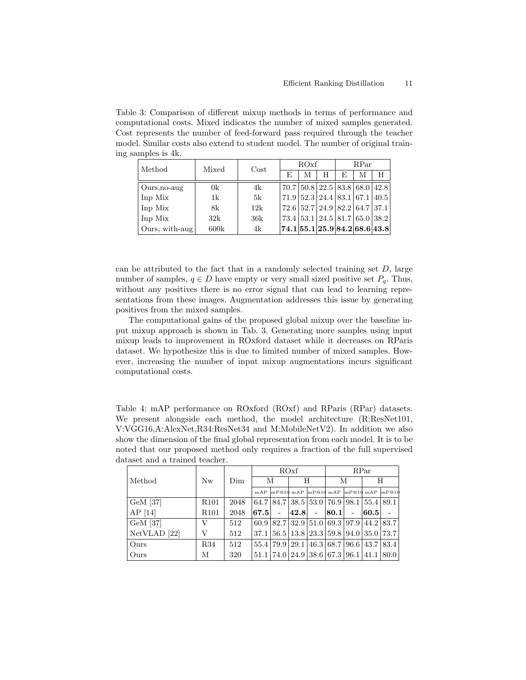Table 3: Comparison of different mixup methods in terms of performance and computational costs. Mixed indicates the number of mixed samples generated. Cost represents the number of feed-forward pass required through the teacher model. Similar costs also extend to student model. The number of original training samples is 4k.

| Method         | Mixed | $\cos t$ |    | ROxf |   | RPar |                                                                           |   |  |
|----------------|-------|----------|----|------|---|------|---------------------------------------------------------------------------|---|--|
|                |       |          | F, | М    | H | E    | М                                                                         | H |  |
| Ours, no-aug   | 0k    | 4k       |    |      |   |      | $70.7 \mid 50.8 \mid 22.5 \mid 83.8 \mid 68.0 \mid 42.8 \mid$             |   |  |
| Inp Mix        | 1k    | 5k       |    |      |   |      | $71.9 \mid 52.3 \mid 24.4 \mid 83.1 \mid 67.1 \mid 40.5 \mid$             |   |  |
| Inp Mix        | 8k    | 12k      |    |      |   |      | $72.6 \mid 52.7 \mid 24.9 \mid 82.2 \mid 64.7 \mid 37.1 \mid$             |   |  |
| Inp Mix        | 32k   | 36k      |    |      |   |      | $73.4 \mid 53.1 \mid 24.5 \mid 81.7 \mid 65.0 \mid 38.2 \mid$             |   |  |
| Ours, with-aug | 600k  | 4k       |    |      |   |      | $\vert 74.1 \vert 55.1 \vert 25.9 \vert 84.2 \vert 68.6 \vert 43.8 \vert$ |   |  |

can be attributed to the fact that in a randomly selected training set  $D$ , large number of samples,  $q \in D$  have empty or very small sized positive set  $P_q$ . Thus, without any positives there is no error signal that can lead to learning representations from these images. Augmentation addresses this issue by generating positives from the mixed samples.

The computational gains of the proposed global mixup over the baseline input mixup approach is shown in Tab. 3. Generating more samples using input mixup leads to improvement in ROxford dataset while it decreases on RParis dataset. We hypothesize this is due to limited number of mixed samples. However, increasing the number of input mixup augmentations incurs significant computational costs.

Table 4: mAP performance on ROxford (ROxf) and RParis (RPar) datasets. We present alongside each method, the model architecture  $(R:ResNet101,$ V:VGG16,A:AlexNet,R34:ResNet34 and M:MobileNetV2). In addition we also show the dimension of the final global representation from each model. It is to be noted that our proposed method only requires a fraction of the full supervised dataset and a trained teacher.

|                         |                  |      | ROxf                  |                                                                              |            |  | RPar |                          |      |                                                             |
|-------------------------|------------------|------|-----------------------|------------------------------------------------------------------------------|------------|--|------|--------------------------|------|-------------------------------------------------------------|
| Method                  | N <sub>w</sub>   | Dim  | М                     |                                                                              | H          |  | М    |                          | H    |                                                             |
|                         |                  |      |                       |                                                                              |            |  |      |                          |      | mAP $\ln$ P@10 mAP $\ln$ P@10 mAP $\ln$ P@10 mAP $\ln$ P@10 |
| $GeM$ [37]              | R <sub>101</sub> | 2048 |                       | $64.7 \mid 84.7 \mid 38.5 \mid 53.0 \mid 76.9 \mid 98.1 \mid 55.4 \mid 89.1$ |            |  |      |                          |      |                                                             |
| $AP$ [14]               | R <sub>101</sub> | 2048 | $\left  67.5 \right $ |                                                                              | $ 42.8 $ - |  | 80.1 | $\overline{\phantom{a}}$ | 60.5 |                                                             |
| GeM [37]                | V                | 512  |                       | $60.9$   82.7   32.9   51.0   69.3   97.9   44.2   83.7                      |            |  |      |                          |      |                                                             |
| NetVLAD <sup>[22]</sup> | V                | 512  |                       | $37.1 \mid 56.5 \mid 13.8 \mid 23.3 \mid 59.8 \mid 94.0 \mid 35.0 \mid 73.7$ |            |  |      |                          |      |                                                             |
| Ours                    | <b>R34</b>       | 512  |                       | 55.4   79.9   29.1   46.3   68.7   96.6   43.7   83.4                        |            |  |      |                          |      |                                                             |
| Ours                    | М                | 320  |                       | $51.1   74.0   24.9   38.6   67.3   96.1   41.1  $                           |            |  |      |                          |      | 80.0                                                        |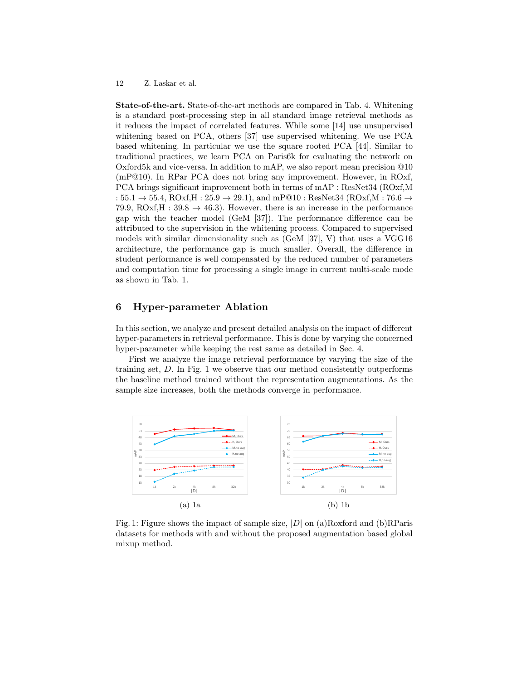State-of-the-art. State-of-the-art methods are compared in Tab. 4. Whitening is a standard post-processing step in all standard image retrieval methods as it reduces the impact of correlated features. While some [14] use unsupervised whitening based on PCA, others [37] use supervised whitening. We use PCA based whitening. In particular we use the square rooted PCA [44]. Similar to traditional practices, we learn PCA on Paris6k for evaluating the network on Oxford5k and vice-versa. In addition to mAP, we also report mean precision @10 (mP@10). In RPar PCA does not bring any improvement. However, in ROxf, PCA brings significant improvement both in terms of mAP : ResNet34 (ROxf,M :  $55.1 \rightarrow 55.4$ , ROxf,H:  $25.9 \rightarrow 29.1$ ), and mP@10: ResNet34 (ROxf,M: 76.6  $\rightarrow$ 79.9, ROxf, H : 39.8  $\rightarrow$  46.3). However, there is an increase in the performance gap with the teacher model (GeM [37]). The performance difference can be attributed to the supervision in the whitening process. Compared to supervised models with similar dimensionality such as (GeM [37], V) that uses a VGG16 architecture, the performance gap is much smaller. Overall, the difference in student performance is well compensated by the reduced number of parameters and computation time for processing a single image in current multi-scale mode as shown in Tab. 1.

## 6 Hyper-parameter Ablation

In this section, we analyze and present detailed analysis on the impact of different hyper-parameters in retrieval performance. This is done by varying the concerned hyper-parameter while keeping the rest same as detailed in Sec. 4.

First we analyze the image retrieval performance by varying the size of the training set, D. In Fig. 1 we observe that our method consistently outperforms the baseline method trained without the representation augmentations. As the sample size increases, both the methods converge in performance.



Fig. 1: Figure shows the impact of sample size,  $|D|$  on (a)Roxford and (b)RParis datasets for methods with and without the proposed augmentation based global mixup method.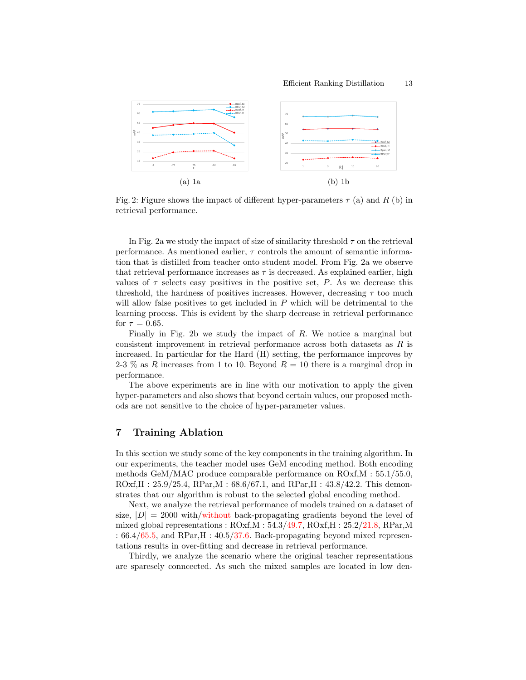

Fig. 2: Figure shows the impact of different hyper-parameters  $\tau$  (a) and R (b) in retrieval performance.

In Fig. 2a we study the impact of size of similarity threshold  $\tau$  on the retrieval performance. As mentioned earlier,  $\tau$  controls the amount of semantic information that is distilled from teacher onto student model. From Fig. 2a we observe that retrieval performance increases as  $\tau$  is decreased. As explained earlier, high values of  $\tau$  selects easy positives in the positive set, P. As we decrease this threshold, the hardness of positives increases. However, decreasing  $\tau$  too much will allow false positives to get included in  $P$  which will be detrimental to the learning process. This is evident by the sharp decrease in retrieval performance for  $\tau = 0.65$ .

Finally in Fig. 2b we study the impact of  $R$ . We notice a marginal but consistent improvement in retrieval performance across both datasets as R is increased. In particular for the Hard (H) setting, the performance improves by 2-3 % as R increases from 1 to 10. Beyond  $R = 10$  there is a marginal drop in performance.

The above experiments are in line with our motivation to apply the given hyper-parameters and also shows that beyond certain values, our proposed methods are not sensitive to the choice of hyper-parameter values.

## 7 Training Ablation

In this section we study some of the key components in the training algorithm. In our experiments, the teacher model uses GeM encoding method. Both encoding methods GeM/MAC produce comparable performance on ROxf,M : 55.1/55.0,  $ROxf, H : 25.9/25.4, RPar, M : 68.6/67.1, and RPar, H : 43.8/42.2. This demon$ strates that our algorithm is robust to the selected global encoding method.

Next, we analyze the retrieval performance of models trained on a dataset of size,  $|D| = 2000$  with/without back-propagating gradients beyond the level of mixed global representations :  $ROxf.M : 54.3/49.7$ ,  $ROxf.H : 25.2/21.8$ ,  $RPar,M$ :  $66.4/65.5$ , and RPar, H :  $40.5/37.6$ . Back-propagating beyond mixed representations results in over-fitting and decrease in retrieval performance.

Thirdly, we analyze the scenario where the original teacher representations are sparesely conncected. As such the mixed samples are located in low den-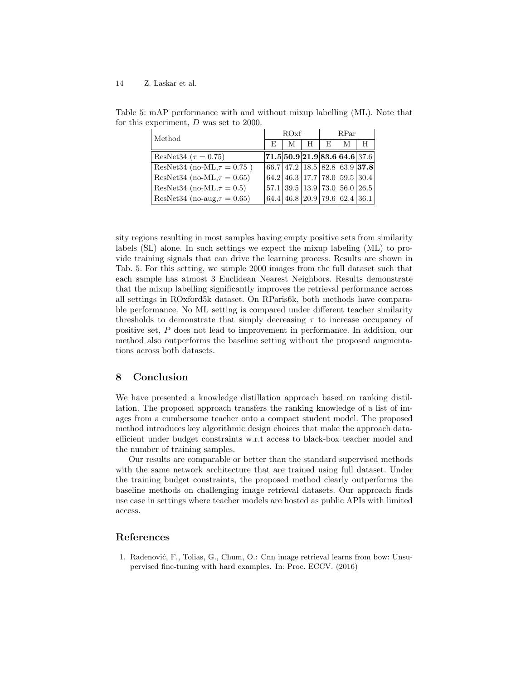| Method                            |                                                                                                          | ROxf |   | RPar |   |   |  |
|-----------------------------------|----------------------------------------------------------------------------------------------------------|------|---|------|---|---|--|
|                                   | E                                                                                                        | М    | H | E    | M | H |  |
| ResNet34 ( $\tau = 0.75$ )        | $\vert 71.5\vert 50.9\vert 21.9\vert 83.6\vert 64.6\vert 37.6\vert$                                      |      |   |      |   |   |  |
| ResNet34 (no-ML, $\tau = 0.75$ )  | $(66.7   47.2   18.5   82.8   63.9   37.8)$                                                              |      |   |      |   |   |  |
| ResNet34 (no-ML, $\tau = 0.65$ )  | (64.2 46.3 17.7 78.0 59.5 30.4)                                                                          |      |   |      |   |   |  |
| ResNet34 (no-ML, $\tau = 0.5$ )   | $\left[57.1\right]\left[39.5\right]\left[13.9\right]\left[73.0\right]\left[56.0\right]\left[26.5\right]$ |      |   |      |   |   |  |
| ResNet34 (no-aug, $\tau = 0.65$ ) | $(64.4 \, 46.8 \, 20.9 \, 79.6 \, 62.4 \, 36.1)$                                                         |      |   |      |   |   |  |

Table 5: mAP performance with and without mixup labelling (ML). Note that for this experiment, D was set to 2000.

sity regions resulting in most samples having empty positive sets from similarity labels (SL) alone. In such settings we expect the mixup labeling (ML) to provide training signals that can drive the learning process. Results are shown in Tab. 5. For this setting, we sample 2000 images from the full dataset such that each sample has atmost 3 Euclidean Nearest Neighbors. Results demonstrate that the mixup labelling significantly improves the retrieval performance across all settings in ROxford5k dataset. On RParis6k, both methods have comparable performance. No ML setting is compared under different teacher similarity thresholds to demonstrate that simply decreasing  $\tau$  to increase occupancy of positive set, P does not lead to improvement in performance. In addition, our method also outperforms the baseline setting without the proposed augmentations across both datasets.

## 8 Conclusion

We have presented a knowledge distillation approach based on ranking distillation. The proposed approach transfers the ranking knowledge of a list of images from a cumbersome teacher onto a compact student model. The proposed method introduces key algorithmic design choices that make the approach dataefficient under budget constraints w.r.t access to black-box teacher model and the number of training samples.

Our results are comparable or better than the standard supervised methods with the same network architecture that are trained using full dataset. Under the training budget constraints, the proposed method clearly outperforms the baseline methods on challenging image retrieval datasets. Our approach finds use case in settings where teacher models are hosted as public APIs with limited access.

## References

1. Radenović, F., Tolias, G., Chum, O.: Cnn image retrieval learns from bow: Unsupervised fine-tuning with hard examples. In: Proc. ECCV. (2016)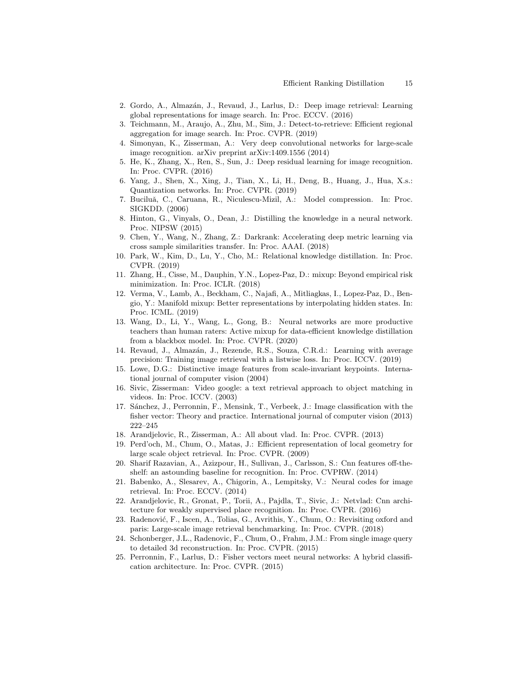- 2. Gordo, A., Almaz´an, J., Revaud, J., Larlus, D.: Deep image retrieval: Learning global representations for image search. In: Proc. ECCV. (2016)
- 3. Teichmann, M., Araujo, A., Zhu, M., Sim, J.: Detect-to-retrieve: Efficient regional aggregation for image search. In: Proc. CVPR. (2019)
- 4. Simonyan, K., Zisserman, A.: Very deep convolutional networks for large-scale image recognition. arXiv preprint arXiv:1409.1556 (2014)
- 5. He, K., Zhang, X., Ren, S., Sun, J.: Deep residual learning for image recognition. In: Proc. CVPR. (2016)
- 6. Yang, J., Shen, X., Xing, J., Tian, X., Li, H., Deng, B., Huang, J., Hua, X.s.: Quantization networks. In: Proc. CVPR. (2019)
- 7. Buciluă, C., Caruana, R., Niculescu-Mizil, A.: Model compression. In: Proc. SIGKDD. (2006)
- 8. Hinton, G., Vinyals, O., Dean, J.: Distilling the knowledge in a neural network. Proc. NIPSW (2015)
- 9. Chen, Y., Wang, N., Zhang, Z.: Darkrank: Accelerating deep metric learning via cross sample similarities transfer. In: Proc. AAAI. (2018)
- 10. Park, W., Kim, D., Lu, Y., Cho, M.: Relational knowledge distillation. In: Proc. CVPR. (2019)
- 11. Zhang, H., Cisse, M., Dauphin, Y.N., Lopez-Paz, D.: mixup: Beyond empirical risk minimization. In: Proc. ICLR. (2018)
- 12. Verma, V., Lamb, A., Beckham, C., Najafi, A., Mitliagkas, I., Lopez-Paz, D., Bengio, Y.: Manifold mixup: Better representations by interpolating hidden states. In: Proc. ICML. (2019)
- 13. Wang, D., Li, Y., Wang, L., Gong, B.: Neural networks are more productive teachers than human raters: Active mixup for data-efficient knowledge distillation from a blackbox model. In: Proc. CVPR. (2020)
- 14. Revaud, J., Almaz´an, J., Rezende, R.S., Souza, C.R.d.: Learning with average precision: Training image retrieval with a listwise loss. In: Proc. ICCV. (2019)
- 15. Lowe, D.G.: Distinctive image features from scale-invariant keypoints. International journal of computer vision (2004)
- 16. Sivic, Zisserman: Video google: a text retrieval approach to object matching in videos. In: Proc. ICCV. (2003)
- 17. Sánchez, J., Perronnin, F., Mensink, T., Verbeek, J.: Image classification with the fisher vector: Theory and practice. International journal of computer vision (2013) 222–245
- 18. Arandjelovic, R., Zisserman, A.: All about vlad. In: Proc. CVPR. (2013)
- 19. Perd'och, M., Chum, O., Matas, J.: Efficient representation of local geometry for large scale object retrieval. In: Proc. CVPR. (2009)
- 20. Sharif Razavian, A., Azizpour, H., Sullivan, J., Carlsson, S.: Cnn features off-theshelf: an astounding baseline for recognition. In: Proc. CVPRW. (2014)
- 21. Babenko, A., Slesarev, A., Chigorin, A., Lempitsky, V.: Neural codes for image retrieval. In: Proc. ECCV. (2014)
- 22. Arandjelovic, R., Gronat, P., Torii, A., Pajdla, T., Sivic, J.: Netvlad: Cnn architecture for weakly supervised place recognition. In: Proc. CVPR. (2016)
- 23. Radenović, F., Iscen, A., Tolias, G., Avrithis, Y., Chum, O.: Revisiting oxford and paris: Large-scale image retrieval benchmarking. In: Proc. CVPR. (2018)
- 24. Schonberger, J.L., Radenovic, F., Chum, O., Frahm, J.M.: From single image query to detailed 3d reconstruction. In: Proc. CVPR. (2015)
- 25. Perronnin, F., Larlus, D.: Fisher vectors meet neural networks: A hybrid classification architecture. In: Proc. CVPR. (2015)